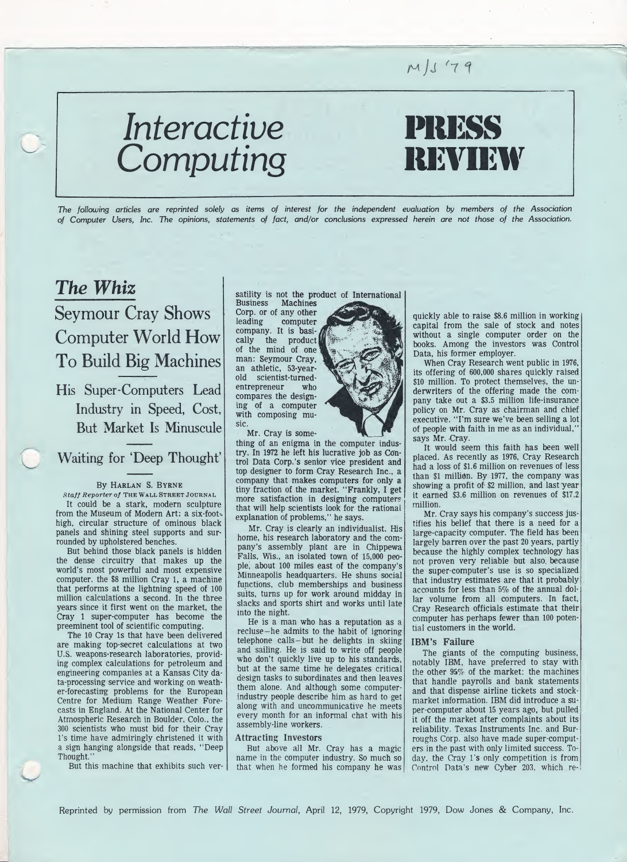### $M/J'79$

# Interactive PRESS Computing REVIEW

The following articles are reprinted solely as items of interest for the independent evaluation by members of the Association of Computer Users, Inc. The opinions, statements of fact, and/or conclusions expressed herein are not those of the Association.

### The Whiz

### Seymour Cray Shows Computer World How To Build Big Machines

His Super-Computers Lead Industry in Speed, Cost, But Market Is Minuscule

Waiting for 'Deep Thought'

#### By Harlan S. Byrne

Staff Reporter of The Wall StreetJournal It could be a stark, modern sculpture from the Museum of Modern Art: a six-foothigh, circular structure of ominous black panels and shining steel supports and surrounded by upholstered benches.

But behind those black panels is hidden the dense circuitry that makes up the world's most powerful and most expensive computer, the \$8 million Cray 1, a machine that performs at the lightning speed of 100 million calculations a second. In the three years since it first went on the market, the Cray <sup>1</sup> super-computer has become the preeminent tool of scientific computing.

The 10 Cray Is that have been delivered are making top-secret calculations at two U.S. weapons-research laboratories, providing complex calculations for petroleum and engineering companies at a Kansas City data-processing service and working on weather-forecasting problems for the European Centre for Medium Range Weather Forecasts in England. At the National Center for Atmospheric Research in Boulder, Colo., the 300 scientists who must bid for their Cray l's time have admiringly christened it with a sign hanging alongside that reads, "Deep Thought.'

But this machine that exhibits such ver-

satility is not the product of International

Business Machines Corp. or of any other leading computer company. It is basically the product of the mind of one man: Seymour Cray, an athletic, 53-yearold scientist-turnedentrepreneur who compares the designing of a computer with composing music.

Mr. Cray is some-

thing of an enigma in the computer industry. In 1972 he left his lucrative job as Con trol Data Corp.'s senior vice president and top designer to form Cray Research Inc., a company that makes computers for only a tiny fraction of the market. "Frankly, I get more satisfaction in designing computers that will help scientists look for the rational explanation of problems," he says.

Mr. Cray is clearly an individualist. His home, his research laboratory and the company's assembly plant are in Chippewa Falls, Wis., an isolated town of 15,000 people, about 100 miles east of the company's Minneapolis headquarters. He shuns social functions, club memberships and business suits, turns up for work around midday in slacks and sports shirt and works until late into the night.

He is a man who has a reputation as a recluse-he admits to the habit of ignoring telephone calls-but he delights in skiing and sailing. He is said to write off people who don't quickly live up to his standards, but at the same time he delegates critical design tasks to subordinates and then leaves them alone. And although some computerindustry people describe him as hard to get along with and uncommunicative he meets every month for an informal chat with his assembly-line workers.

#### Attracting Investors

But above all Mr. Cray has a magic name in the computer industry. So much so that when he formed his company he was



quickly able to raise \$8.6 million in working capital from the sale of stock and notes without a single computer order on the books. Among the investors was Control Data, his former employer.

When Cray Research went public in 1976, its offering of 600,000 shares quickly raised \$10 million. To protect themselves, the underwriters of the offering made the company take out a \$3.5 million life-insurance policy on Mr. Cray as chairman and chief executive. "I'm sure we've been selling a lot of people with faith in me as an individual," says Mr. Cray.

It would seem this faith has been well placed. As recently as 1976, Cray Research had a loss of \$1.6 million on revenues of less than \$1 million. By 1977, the company was showing a profit of \$2 million, and last year it earned \$3.6 million on revenues of \$17.2 million.

Mr. Cray says his company's success justifies his belief that there is a need for a large-capacity computer. The field has been largely barren over the past 20 years, partly because the highly complex technology has not proven very reliable but also, because the super-computer's use is so specialized that industry estimates are that it probably accounts for less than 5% of the annual dol lar volume from all computers. In fact, Cray Research officials estimate that their computer has perhaps fewer than 100 potential customers in the world.

#### IBM's Failure

The giants of the computing business, notably IBM, have preferred to stay with the other 95% of the market: the machines that handle payrolls and bank statements and that dispense airline tickets and stockmarket information. IBM did introduce a super-computer about <sup>15</sup> years ago, but pulled it off the market after complaints about its reliability. Texas Instruments Inc. and Burroughs Corp. also have made super-computers in the past with only limited success. Today, the Cray l's only competition is from Control Data's new Cyber 203, which re-

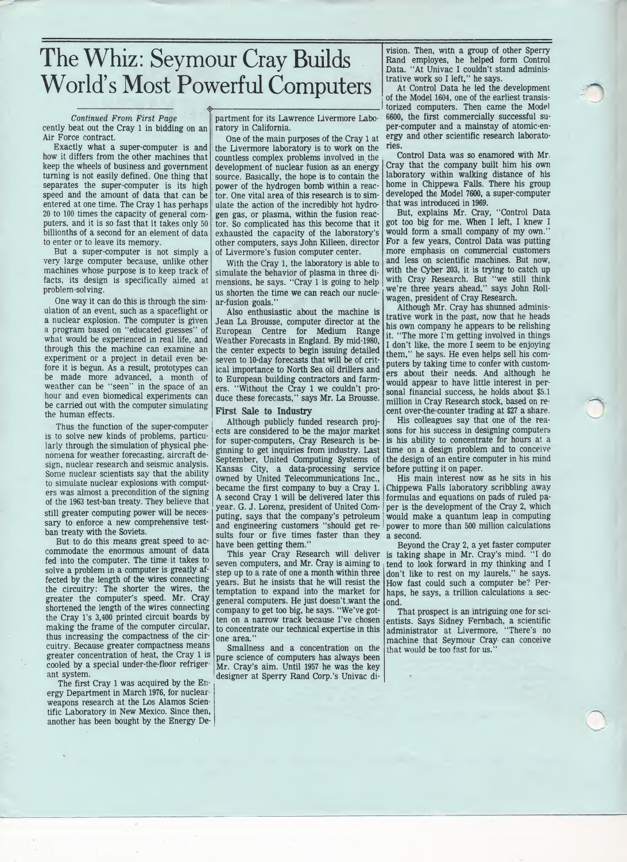## The Whiz: Seymour Cray Builds World's Most Powerful Computers

#### Continued From First Page

cently beat out the Cray <sup>1</sup> in bidding on an Air Force contract.

Exactly what a super-computer is and how it differs from the other machines that keep the wheels of business and government turning is not easily defined. One thing that separates the super-computer is its high speed and the amount of data that can be entered at one time. The Cray <sup>1</sup> has perhaps 20 to 100 times the capacity of general com puters, and it is so fast that it takes only <sup>50</sup> billionths of a second for an element of data to enter or to leave its memory.

But a super-computer is not simply a very large computer because, unlike other machines whose purpose is to keep track of facts, its design is specifically aimed at problem-solving.

One way it can do this is through the simulation of an event, such as a spaceflight or a nuclear explosion. The computer is given a program based on "educated guesses" of what would be experienced in real life, and through this the machine can examine an experiment or a project in detail even before it is begun. As a result, prototypes can be made more advanced, a month of weather can be "seen" in the space of an hour and even biomedical experiments can be carried out with the computer simulating the human effects.

Thus the function of the super-computer is to solve new kinds of problems, particularly through the simulation of physical phenomena for weather forecasting, aircraft de sign, nuclear research and seismic analysis. Some nuclear scientists say that the ability to simulate nuclear explosions with computers was almost a precondition of the signing of the 1963 test-ban treaty. They believe that still greater computing power will be necessary to enforce a new comprehensive testban treaty with the Soviets.

But to do this means great speed to accommodate the enormous amount of data fed into the computer. The time it takes to solve a problem in a computer is greatly affected by the length of the wires connecting the circuitry: The shorter the wires, the greater the computer's speed. Mr. Cray shortened the length of the wires connecting the Cray l's 3,400 printed circuit boards by making the frame of the computer circular, thus increasing the compactness of the cir cuitry. Because greater compactness means greater concentration of heat, the Cray <sup>1</sup> is cooled by a special under-the-floor refrigerant system.

The first Cray <sup>1</sup> was acquired by the En ergy Department in March 1976, for nuclearweapons research at the Los Alamos Scientific Laboratory in New Mexico. Since then, another has been bought by the Energy De-

partment for its Lawrence Livermore Laboratory in California.

One of the main purposes of the Cray <sup>1</sup> at the Livermore laboratory is to work on the countless complex problems involved in the development of nuclear fusion as an energy source. Basically, the hope is to contain the power of the hydrogen bomb within a reactor. One vital area of this research is to simulate the action of the incredibly hot hydrogen gas, or plasma, within the fusion reactor. So complicated has this become that it exhausted the capacity of the laboratory's other computers, says John Killeen, director of Livermore's fusion computer center.

With the Cray 1, the laboratory is able to simulate the behavior of plasma in three dimensions, he says. "Cray <sup>1</sup> is going to help us shorten the time we can reach our nuclear-fusion goals."

Also enthusiastic about the machine is Jean La Brousse, computer director at the European Centre for Medium Range Weather Forecasts in England. By mid-1980, the center expects to begin issuing detailed seven to 10-day forecasts that will be of critical importance to North Sea oil drillers and to European building contractors and farmers. "Without the Cray 1 we couldn't produce these forecasts," says Mr. La Brousse.

#### First Sale to Industry

Although publicly funded research projects are considered to be the major market for super-computers, Cray Research is beginning to get inquiries from industry. Last September, United Computing Systems of Kansas City, a data-processing service owned by United Telecommunications Inc., became the first company to buy a Cray 1. <sup>A</sup> second Cray <sup>1</sup> will be delivered later this year. G. J. Lorenz, president of United Computing, says that the company's petroleum and engineering customers "should get results four or five times faster than they have been getting them."

seven computers, and Mr. Cray is aiming to step up to a rate of one a month within three years. But he insists that he will resist the temptation to expand into the market for general computers. He just doesn't want the company to get too big, he says. "We've gotten on a narrow track because I've chosen to concentrate our technical expertise in this one area."

Smallness and a concentration on the pure science of computers has always been Mr. Cray's aim. Until 1957 he was the key designer at Sperry Rand Corp.'s Univac di-

vision. Then, with a group of other Sperry Rand employes, he helped form Control Data. "At Univac I couldn't stand administrative work so I left," he says.

At Control Data he led the development of the Model 1604, one of the earliest transistorized computers. Then came the Model 6600, the first commercially successful super-computer and a mainstay of atomic-energy and other scientific research laboratories.

Control Data was so enamored with Mr. Cray that the company built him his own laboratory within walking distance of his home in Chippewa Falls. There his group developed the Model 7600, a super-computer that was introduced in 1969.

But, explains Mr. Cray, "Control Data got too big for me. When I left, I knew I would form a small company of my own." For a few years, Control Data was putting more emphasis on commercial customers and less on scientific machines. But now, with the Cyber 203, it is trying to catch up with Cray Research. But "we still think we're three years ahead," says John Rollwagen, president of Cray Research.

Although Mr. Cray has shunned administrative work in the past, now that he heads his own company he appears to be relishing it. "The more I'm getting involved in things I don't like, the more I seem to be enjoying them," he says. He even helps sell his computers by taking time to confer with customers about their needs. And although he would appear to have little interest in personal financial success, he holds about \$5.1 million in Cray Research stock, based on recent over-the-counter trading at \$27 a share.

His colleagues say that one of the reasons for his success in designing computers is his ability to concentrate for hours at a time on a design problem and to conceive the design of an entire computer in his mind before putting it on paper.

His main interest now as he sits in his Chippewa Falls laboratory scribbling away formulas and equations on pads of ruled pa per is the development of the Cray 2, which would make a quantum leap in computing power to more than 500 million calculations a second.

This year Cray Research will deliver is taking shape in Mr. Cray's mind. "I do Beyond the Cray 2, a yet faster computer tend to look forward in my thinking and I don't like to rest on my laurels," he says. How fast could such a computer be? Perhaps, he says, a trillion calculations a second.

> That prospect is an intriguing one for scientists. Says Sidney Fernbach, a scientific administrator at Livermore, "There's no machine that Seymour Cray can conceive that would be too fast for us.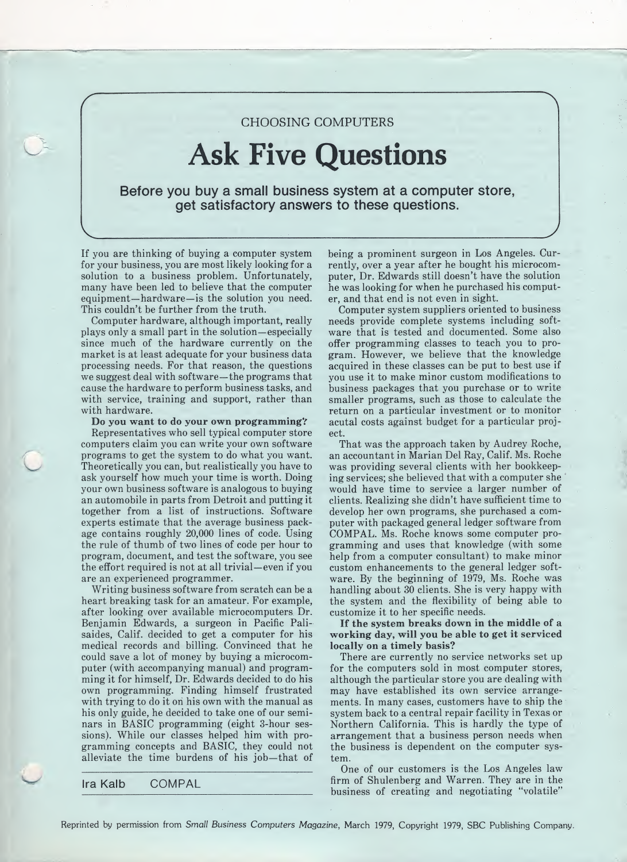### CHOOSING COMPUTERS

# Ask Five Questions

Before you buy a small business system at a computer store, get satisfactory answers to these questions.

If you are thinking of buying a computer system for your business, you are most likely looking for a solution to a business problem. Unfortunately, many have been led to believe that the computer equipment—hardware—is the solution you need. This couldn't be further from the truth.

Computer hardware, although important, really plays only a small part in the solution—especially since much of the hardware currently on the market is at least adequate for your business data processing needs. For that reason, the questions we suggest deal with software—the programs that cause the hardware to perform business tasks, and with service, training and support, rather than with hardware.

#### Do you want to do your own programming?

Representatives who sell typical computer store computers claim you can write your own software programs to get the system to do what you want. Theoretically you can, but realistically you have to ask yourself how much your time is worth. Doing your own business software is analogous to buying an automobile in parts from Detroit and putting it together from a list of instructions. Software experts estimate that the average business package contains roughly 20,000 lines of code. Using the rule of thumb of two lines of code per hour to program, document, and test the software, you see the effort required is not at all trivial—even if you are an experienced programmer.

Writing business software from scratch can be a heart breaking task for an amateur. For example, after looking over available microcomputers Dr. Benjamin Edwards, a surgeon in Pacific Palisaides, Calif, decided to get a computer for his medical records and billing. Convinced that he could save a lot of money by buying a microcom puter (with accompanying manual) and programming it for himself, Dr. Edwards decided to do his own programming. Finding himself frustrated with trying to do it on his own with the manual as his only guide, he decided to take one of our seminars in BASIC programming (eight 3-hour sessions). While our classes helped him with programming concepts and BASIC, they could not alleviate the time burdens of his job—that of

Ira Kalb COMPAL

being a prominent surgeon in Los Angeles. Currently, over a year after he bought his microcomputer, Dr. Edwards still doesn't have the solution he was looking for when he purchased his computer, and that end is not even in sight.

Computer system suppliers oriented to business needs provide complete systems including software that is tested and documented. Some also offer programming classes to teach you to program. However, we believe that the knowledge acquired in these classes can be put to best use if you use it to make minor custom modifications to business packages that you purchase or to write smaller programs, such as those to calculate the return on a particular investment or to monitor acutal costs against budget for a particular project.

That was the approach taken by Audrey Roche, an accountant in Marian Del Ray, Calif. Ms. Roche was providing several clients with her bookkeeping services; she believed that with a computer she would have time to service a larger number of clients. Realizing she didn't have sufficient time to develop her own programs, she purchased a com puter with packaged general ledger software from COMPAL. Ms. Roche knows some computer pro gramming and uses that knowledge (with some help from a computer consultant) to make minor custom enhancements to the general ledger software. By the beginning of 1979, Ms. Roche was handling about 30 clients. She is very happy with the system and the flexibility of being able to customize it to her specific needs.

If the system breaks down in the middle of a working day, will you be able to get it serviced locally on a timely basis?

There are currently no service networks set up for the computers sold in most computer stores, although the particular store you are dealing with may have established its own service arrangements. In many cases, customers have to ship the system back to a central repair facility in Texas or Northern California. This is hardly the type of arrangement that a business person needs when the business is dependent on the computer system.

One of our customers is the Los Angeles law firm of Shulenberg and Warren. They are in the business of creating and negotiating "volatile"